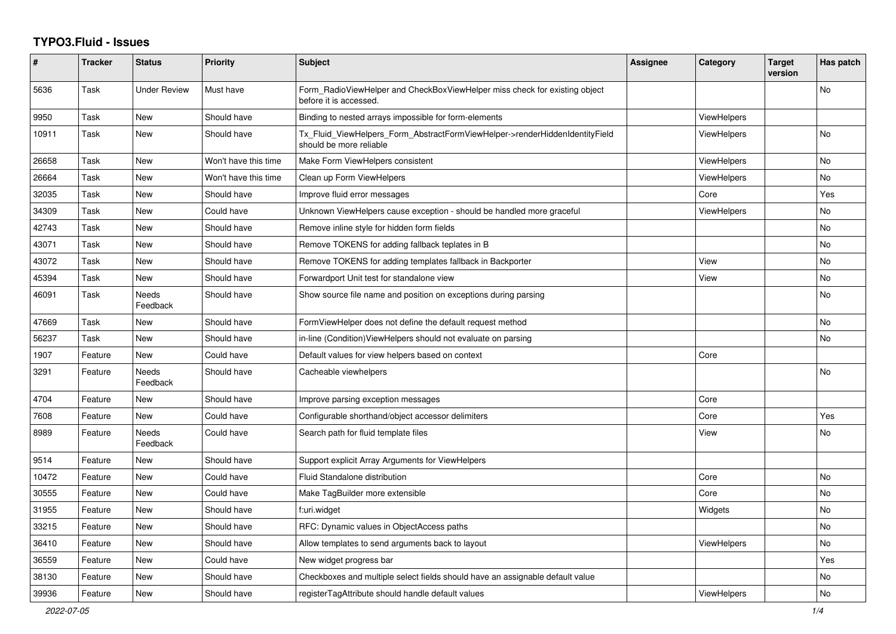## **TYPO3.Fluid - Issues**

| #     | <b>Tracker</b> | <b>Status</b>       | <b>Priority</b>      | <b>Subject</b>                                                                                         | Assignee | Category           | <b>Target</b><br>version | Has patch |
|-------|----------------|---------------------|----------------------|--------------------------------------------------------------------------------------------------------|----------|--------------------|--------------------------|-----------|
| 5636  | Task           | <b>Under Review</b> | Must have            | Form RadioViewHelper and CheckBoxViewHelper miss check for existing object<br>before it is accessed.   |          |                    |                          | No        |
| 9950  | Task           | New                 | Should have          | Binding to nested arrays impossible for form-elements                                                  |          | <b>ViewHelpers</b> |                          |           |
| 10911 | Task           | New                 | Should have          | Tx_Fluid_ViewHelpers_Form_AbstractFormViewHelper->renderHiddenIdentityField<br>should be more reliable |          | <b>ViewHelpers</b> |                          | No        |
| 26658 | Task           | <b>New</b>          | Won't have this time | Make Form ViewHelpers consistent                                                                       |          | ViewHelpers        |                          | <b>No</b> |
| 26664 | Task           | New                 | Won't have this time | Clean up Form ViewHelpers                                                                              |          | <b>ViewHelpers</b> |                          | No        |
| 32035 | Task           | New                 | Should have          | Improve fluid error messages                                                                           |          | Core               |                          | Yes       |
| 34309 | Task           | New                 | Could have           | Unknown ViewHelpers cause exception - should be handled more graceful                                  |          | ViewHelpers        |                          | No        |
| 42743 | Task           | New                 | Should have          | Remove inline style for hidden form fields                                                             |          |                    |                          | No        |
| 43071 | Task           | <b>New</b>          | Should have          | Remove TOKENS for adding fallback teplates in B                                                        |          |                    |                          | No        |
| 43072 | Task           | New                 | Should have          | Remove TOKENS for adding templates fallback in Backporter                                              |          | View               |                          | No        |
| 45394 | Task           | New                 | Should have          | Forwardport Unit test for standalone view                                                              |          | View               |                          | No        |
| 46091 | Task           | Needs<br>Feedback   | Should have          | Show source file name and position on exceptions during parsing                                        |          |                    |                          | <b>No</b> |
| 47669 | Task           | New                 | Should have          | FormViewHelper does not define the default request method                                              |          |                    |                          | <b>No</b> |
| 56237 | Task           | New                 | Should have          | in-line (Condition) View Helpers should not evaluate on parsing                                        |          |                    |                          | <b>No</b> |
| 1907  | Feature        | New                 | Could have           | Default values for view helpers based on context                                                       |          | Core               |                          |           |
| 3291  | Feature        | Needs<br>Feedback   | Should have          | Cacheable viewhelpers                                                                                  |          |                    |                          | No        |
| 4704  | Feature        | <b>New</b>          | Should have          | Improve parsing exception messages                                                                     |          | Core               |                          |           |
| 7608  | Feature        | New                 | Could have           | Configurable shorthand/object accessor delimiters                                                      |          | Core               |                          | Yes       |
| 8989  | Feature        | Needs<br>Feedback   | Could have           | Search path for fluid template files                                                                   |          | View               |                          | No        |
| 9514  | Feature        | <b>New</b>          | Should have          | Support explicit Array Arguments for ViewHelpers                                                       |          |                    |                          |           |
| 10472 | Feature        | <b>New</b>          | Could have           | Fluid Standalone distribution                                                                          |          | Core               |                          | <b>No</b> |
| 30555 | Feature        | New                 | Could have           | Make TagBuilder more extensible                                                                        |          | Core               |                          | No        |
| 31955 | Feature        | New                 | Should have          | f:uri.widget                                                                                           |          | Widgets            |                          | No        |
| 33215 | Feature        | New                 | Should have          | RFC: Dynamic values in ObjectAccess paths                                                              |          |                    |                          | No        |
| 36410 | Feature        | <b>New</b>          | Should have          | Allow templates to send arguments back to layout                                                       |          | <b>ViewHelpers</b> |                          | No        |
| 36559 | Feature        | <b>New</b>          | Could have           | New widget progress bar                                                                                |          |                    |                          | Yes       |
| 38130 | Feature        | New                 | Should have          | Checkboxes and multiple select fields should have an assignable default value                          |          |                    |                          | No        |
| 39936 | Feature        | New                 | Should have          | registerTagAttribute should handle default values                                                      |          | <b>ViewHelpers</b> |                          | No        |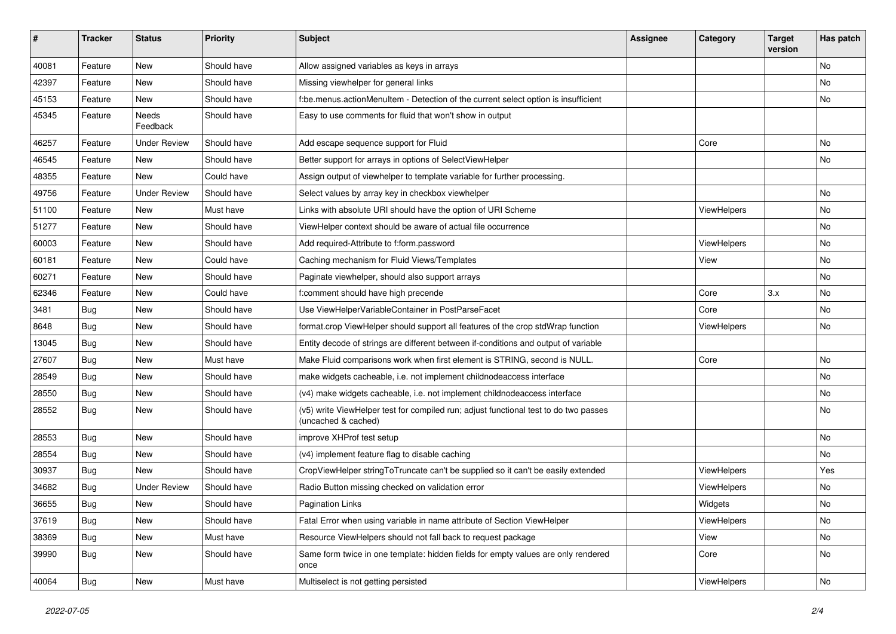| $\sharp$ | <b>Tracker</b> | <b>Status</b>       | <b>Priority</b> | Subject                                                                                                     | <b>Assignee</b> | Category    | <b>Target</b><br>version | Has patch |
|----------|----------------|---------------------|-----------------|-------------------------------------------------------------------------------------------------------------|-----------------|-------------|--------------------------|-----------|
| 40081    | Feature        | New                 | Should have     | Allow assigned variables as keys in arrays                                                                  |                 |             |                          | <b>No</b> |
| 42397    | Feature        | New                 | Should have     | Missing viewhelper for general links                                                                        |                 |             |                          | No        |
| 45153    | Feature        | New                 | Should have     | f:be.menus.actionMenuItem - Detection of the current select option is insufficient                          |                 |             |                          | No        |
| 45345    | Feature        | Needs<br>Feedback   | Should have     | Easy to use comments for fluid that won't show in output                                                    |                 |             |                          |           |
| 46257    | Feature        | <b>Under Review</b> | Should have     | Add escape sequence support for Fluid                                                                       |                 | Core        |                          | No        |
| 46545    | Feature        | New                 | Should have     | Better support for arrays in options of SelectViewHelper                                                    |                 |             |                          | No        |
| 48355    | Feature        | New                 | Could have      | Assign output of viewhelper to template variable for further processing.                                    |                 |             |                          |           |
| 49756    | Feature        | <b>Under Review</b> | Should have     | Select values by array key in checkbox viewhelper                                                           |                 |             |                          | <b>No</b> |
| 51100    | Feature        | New                 | Must have       | Links with absolute URI should have the option of URI Scheme                                                |                 | ViewHelpers |                          | No        |
| 51277    | Feature        | <b>New</b>          | Should have     | ViewHelper context should be aware of actual file occurrence                                                |                 |             |                          | <b>No</b> |
| 60003    | Feature        | New                 | Should have     | Add required-Attribute to f:form.password                                                                   |                 | ViewHelpers |                          | No        |
| 60181    | Feature        | New                 | Could have      | Caching mechanism for Fluid Views/Templates                                                                 |                 | View        |                          | No        |
| 60271    | Feature        | New                 | Should have     | Paginate viewhelper, should also support arrays                                                             |                 |             |                          | No        |
| 62346    | Feature        | New                 | Could have      | f:comment should have high precende                                                                         |                 | Core        | 3.x                      | No        |
| 3481     | Bug            | New                 | Should have     | Use ViewHelperVariableContainer in PostParseFacet                                                           |                 | Core        |                          | No        |
| 8648     | Bug            | New                 | Should have     | format.crop ViewHelper should support all features of the crop stdWrap function                             |                 | ViewHelpers |                          | No        |
| 13045    | Bug            | New                 | Should have     | Entity decode of strings are different between if-conditions and output of variable                         |                 |             |                          |           |
| 27607    | Bug            | New                 | Must have       | Make Fluid comparisons work when first element is STRING, second is NULL.                                   |                 | Core        |                          | No        |
| 28549    | Bug            | New                 | Should have     | make widgets cacheable, i.e. not implement childnodeaccess interface                                        |                 |             |                          | No        |
| 28550    | Bug            | New                 | Should have     | (v4) make widgets cacheable, i.e. not implement childnodeaccess interface                                   |                 |             |                          | No        |
| 28552    | Bug            | New                 | Should have     | (v5) write ViewHelper test for compiled run; adjust functional test to do two passes<br>(uncached & cached) |                 |             |                          | No        |
| 28553    | Bug            | New                 | Should have     | improve XHProf test setup                                                                                   |                 |             |                          | No        |
| 28554    | Bug            | New                 | Should have     | (v4) implement feature flag to disable caching                                                              |                 |             |                          | No        |
| 30937    | Bug            | New                 | Should have     | CropViewHelper stringToTruncate can't be supplied so it can't be easily extended                            |                 | ViewHelpers |                          | Yes       |
| 34682    | Bug            | <b>Under Review</b> | Should have     | Radio Button missing checked on validation error                                                            |                 | ViewHelpers |                          | No        |
| 36655    | Bug            | New                 | Should have     | <b>Pagination Links</b>                                                                                     |                 | Widgets     |                          | No        |
| 37619    | Bug            | New                 | Should have     | Fatal Error when using variable in name attribute of Section ViewHelper                                     |                 | ViewHelpers |                          | No        |
| 38369    | <b>Bug</b>     | New                 | Must have       | Resource ViewHelpers should not fall back to request package                                                |                 | View        |                          | No        |
| 39990    | Bug            | New                 | Should have     | Same form twice in one template: hidden fields for empty values are only rendered<br>once                   |                 | Core        |                          | No        |
| 40064    | <b>Bug</b>     | New                 | Must have       | Multiselect is not getting persisted                                                                        |                 | ViewHelpers |                          | No        |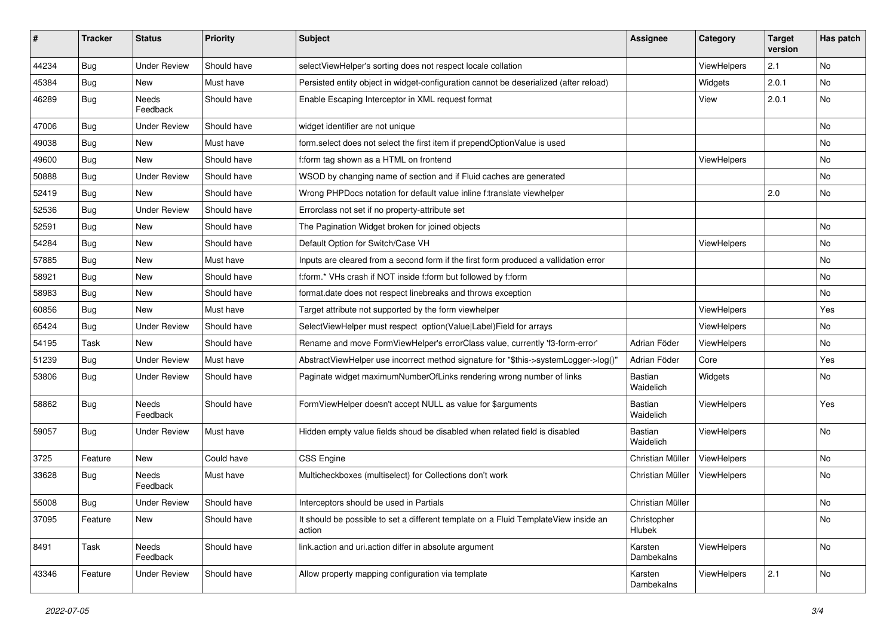| #     | <b>Tracker</b> | <b>Status</b>       | <b>Priority</b> | Subject                                                                                       | <b>Assignee</b>             | Category    | <b>Target</b><br>version | Has patch |
|-------|----------------|---------------------|-----------------|-----------------------------------------------------------------------------------------------|-----------------------------|-------------|--------------------------|-----------|
| 44234 | Bug            | <b>Under Review</b> | Should have     | selectViewHelper's sorting does not respect locale collation                                  |                             | ViewHelpers | 2.1                      | No        |
| 45384 | Bug            | New                 | Must have       | Persisted entity object in widget-configuration cannot be deserialized (after reload)         |                             | Widgets     | 2.0.1                    | No        |
| 46289 | Bug            | Needs<br>Feedback   | Should have     | Enable Escaping Interceptor in XML request format                                             |                             | View        | 2.0.1                    | No        |
| 47006 | Bug            | <b>Under Review</b> | Should have     | widget identifier are not unique                                                              |                             |             |                          | No        |
| 49038 | Bug            | New                 | Must have       | form select does not select the first item if prependOptionValue is used                      |                             |             |                          | No        |
| 49600 | Bug            | New                 | Should have     | f:form tag shown as a HTML on frontend                                                        |                             | ViewHelpers |                          | No        |
| 50888 | Bug            | <b>Under Review</b> | Should have     | WSOD by changing name of section and if Fluid caches are generated                            |                             |             |                          | No        |
| 52419 | Bug            | New                 | Should have     | Wrong PHPDocs notation for default value inline f:translate viewhelper                        |                             |             | 2.0                      | No        |
| 52536 | Bug            | <b>Under Review</b> | Should have     | Errorclass not set if no property-attribute set                                               |                             |             |                          |           |
| 52591 | Bug            | New                 | Should have     | The Pagination Widget broken for joined objects                                               |                             |             |                          | No        |
| 54284 | Bug            | New                 | Should have     | Default Option for Switch/Case VH                                                             |                             | ViewHelpers |                          | No        |
| 57885 | Bug            | New                 | Must have       | Inputs are cleared from a second form if the first form produced a vallidation error          |                             |             |                          | No        |
| 58921 | Bug            | New                 | Should have     | f:form.* VHs crash if NOT inside f:form but followed by f:form                                |                             |             |                          | No        |
| 58983 | <b>Bug</b>     | New                 | Should have     | format.date does not respect linebreaks and throws exception                                  |                             |             |                          | No        |
| 60856 | Bug            | New                 | Must have       | Target attribute not supported by the form viewhelper                                         |                             | ViewHelpers |                          | Yes       |
| 65424 | Bug            | <b>Under Review</b> | Should have     | SelectViewHelper must respect option(Value Label)Field for arrays                             |                             | ViewHelpers |                          | No        |
| 54195 | Task           | New                 | Should have     | Rename and move FormViewHelper's errorClass value, currently 'f3-form-error'                  | Adrian Föder                | ViewHelpers |                          | No        |
| 51239 | Bug            | <b>Under Review</b> | Must have       | AbstractViewHelper use incorrect method signature for "\$this->systemLogger->log()"           | Adrian Föder                | Core        |                          | Yes       |
| 53806 | Bug            | Under Review        | Should have     | Paginate widget maximumNumberOfLinks rendering wrong number of links                          | <b>Bastian</b><br>Waidelich | Widgets     |                          | No        |
| 58862 | Bug            | Needs<br>Feedback   | Should have     | FormViewHelper doesn't accept NULL as value for \$arguments                                   | Bastian<br>Waidelich        | ViewHelpers |                          | Yes       |
| 59057 | Bug            | <b>Under Review</b> | Must have       | Hidden empty value fields shoud be disabled when related field is disabled                    | <b>Bastian</b><br>Waidelich | ViewHelpers |                          | No        |
| 3725  | Feature        | <b>New</b>          | Could have      | CSS Engine                                                                                    | Christian Müller            | ViewHelpers |                          | No        |
| 33628 | Bug            | Needs<br>Feedback   | Must have       | Multicheckboxes (multiselect) for Collections don't work                                      | Christian Müller            | ViewHelpers |                          | No        |
| 55008 | Bug            | Under Review        | Should have     | Interceptors should be used in Partials                                                       | Christian Müller            |             |                          | No        |
| 37095 | Feature        | New                 | Should have     | It should be possible to set a different template on a Fluid TemplateView inside an<br>action | Christopher<br>Hlubek       |             |                          | No        |
| 8491  | Task           | Needs<br>Feedback   | Should have     | link.action and uri.action differ in absolute argument                                        | Karsten<br>Dambekalns       | ViewHelpers |                          | No        |
| 43346 | Feature        | <b>Under Review</b> | Should have     | Allow property mapping configuration via template                                             | Karsten<br>Dambekalns       | ViewHelpers | 2.1                      | No        |